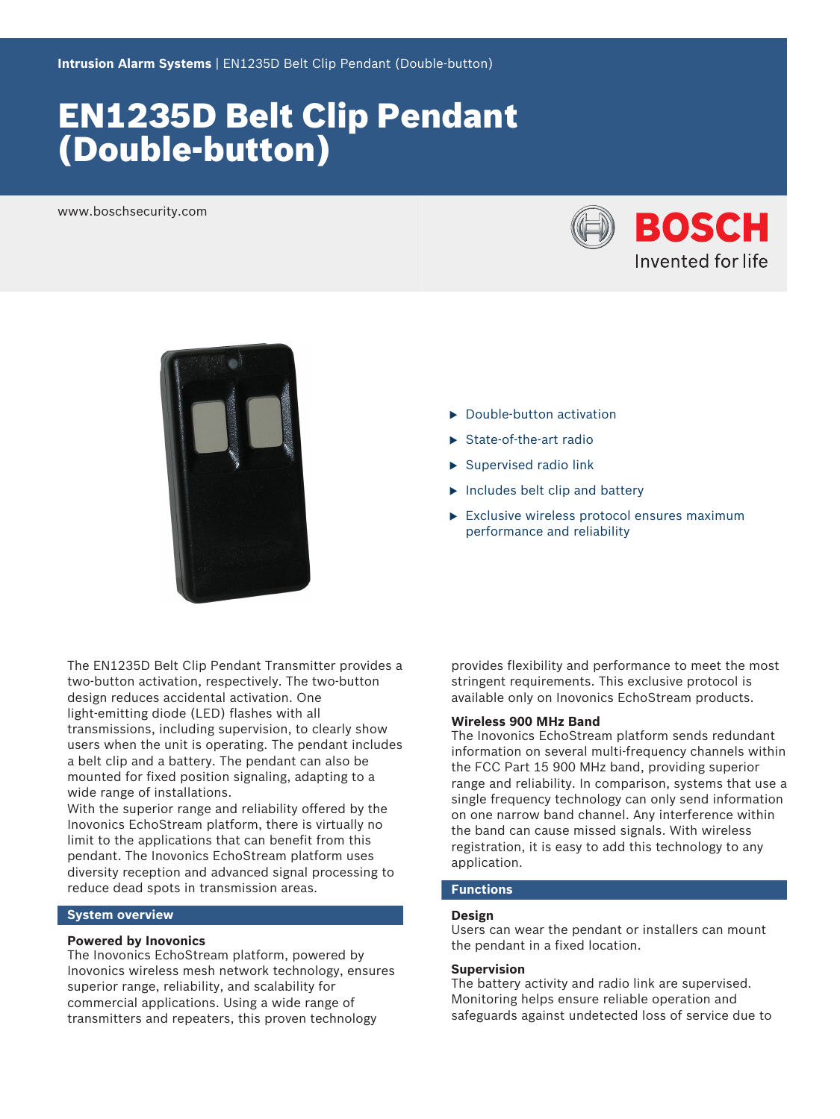# EN1235D Belt Clip Pendant (Double‑button)

www.boschsecurity.com





- $\blacktriangleright$  Double-button activation
- $\blacktriangleright$  State-of-the-art radio
- $\blacktriangleright$  Supervised radio link
- $\blacktriangleright$  Includes belt clip and battery
- $\blacktriangleright$  Exclusive wireless protocol ensures maximum performance and reliability

The EN1235D Belt Clip Pendant Transmitter provides a two-button activation, respectively. The two-button design reduces accidental activation. One light-emitting diode (LED) flashes with all transmissions, including supervision, to clearly show users when the unit is operating. The pendant includes a belt clip and a battery. The pendant can also be mounted for fixed position signaling, adapting to a wide range of installations.

With the superior range and reliability offered by the Inovonics EchoStream platform, there is virtually no limit to the applications that can benefit from this pendant. The Inovonics EchoStream platform uses diversity reception and advanced signal processing to reduce dead spots in transmission areas.

#### **System overview**

#### **Powered by Inovonics**

The Inovonics EchoStream platform, powered by Inovonics wireless mesh network technology, ensures superior range, reliability, and scalability for commercial applications. Using a wide range of transmitters and repeaters, this proven technology

provides flexibility and performance to meet the most stringent requirements. This exclusive protocol is available only on Inovonics EchoStream products.

# **Wireless 900 MHz Band**

The Inovonics EchoStream platform sends redundant information on several multi-frequency channels within the FCC Part 15 900 MHz band, providing superior range and reliability. In comparison, systems that use a single frequency technology can only send information on one narrow band channel. Any interference within the band can cause missed signals. With wireless registration, it is easy to add this technology to any application.

# **Functions**

#### **Design**

Users can wear the pendant or installers can mount the pendant in a fixed location.

#### **Supervision**

The battery activity and radio link are supervised. Monitoring helps ensure reliable operation and safeguards against undetected loss of service due to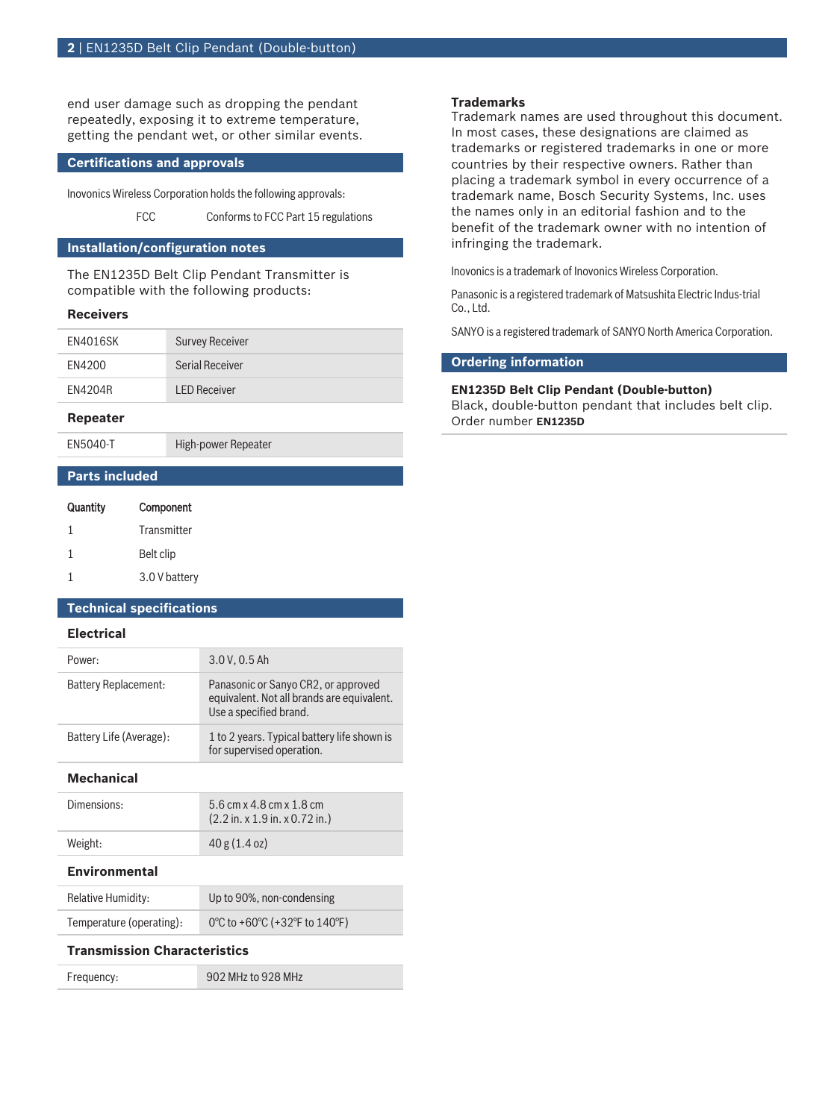end user damage such as dropping the pendant repeatedly, exposing it to extreme temperature, getting the pendant wet, or other similar events.

### **Certifications and approvals**

Inovonics Wireless Corporation holds the following approvals:

FCC Conforms to FCC Part 15 regulations

# **Installation/configuration notes**

The EN1235D Belt Clip Pendant Transmitter is compatible with the following products:

#### **Receivers**

| <b>EN4016SK</b> | <b>Survey Receiver</b> |
|-----------------|------------------------|
| FN4200          | Serial Receiver        |
| EN4204R         | <b>LED Receiver</b>    |

#### **Repeater**

EN5040-T High-power Repeater

### **Parts included**

| Quantity | Component     |
|----------|---------------|
| 1        | Transmitter   |
| 1        | Belt clip     |
|          | 3.0 V battery |

### **Technical specifications**

### **Electrical**

| <b>Mechanical</b>       |                                                                                                             |
|-------------------------|-------------------------------------------------------------------------------------------------------------|
| Battery Life (Average): | 1 to 2 years. Typical battery life shown is<br>for supervised operation.                                    |
| Battery Replacement:    | Panasonic or Sanyo CR2, or approved<br>equivalent. Not all brands are equivalent.<br>Use a specified brand. |
| Power:                  | 3.0 V. 0.5 Ah                                                                                               |
|                         |                                                                                                             |

| Dimensions: | 5.6 cm x 4.8 cm x 1.8 cm<br>$(2.2 \text{ in. x } 1.9 \text{ in. x } 0.72 \text{ in.})$ |
|-------------|----------------------------------------------------------------------------------------|
| Weight:     | 40 g (1.4 oz)                                                                          |

#### **Environmental**

| Relative Humidity:       | Up to 90%, non-condensing     |
|--------------------------|-------------------------------|
| Temperature (operating): | 0°C to +60°C (+32°F to 140°F) |

#### **Transmission Characteristics**

Frequency: 902 MHz to 928 MHz

# **Trademarks**

Trademark names are used throughout this document. In most cases, these designations are claimed as trademarks or registered trademarks in one or more countries by their respective owners. Rather than placing a trademark symbol in every occurrence of a trademark name, Bosch Security Systems, Inc. uses the names only in an editorial fashion and to the benefit of the trademark owner with no intention of infringing the trademark.

Inovonics is a trademark of Inovonics Wireless Corporation.

Panasonic is a registered trademark of Matsushita Electric Indus-trial Co., Ltd.

SANYO is a registered trademark of SANYO North America Corporation.

# **Ordering information**

### **EN1235D Belt Clip Pendant (Double‑button)**

Black, double-button pendant that includes belt clip. Order number **EN1235D**